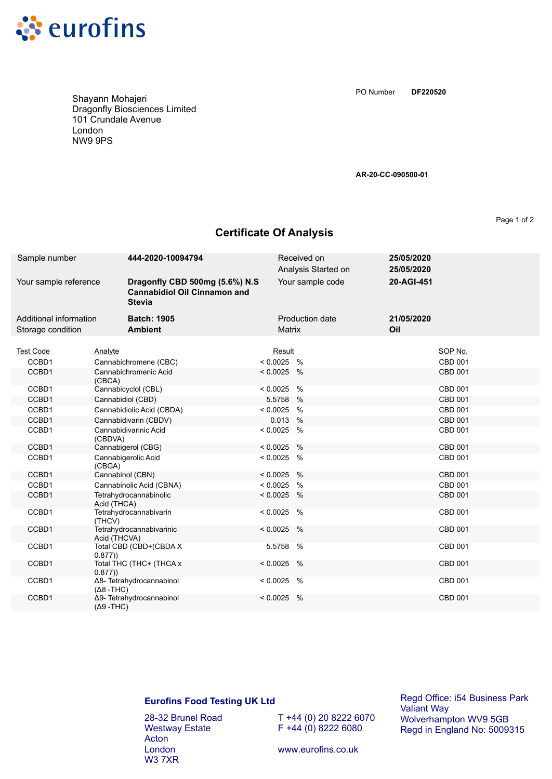

**DF220520** PO Number

Shayann Mohajeri Dragonfly Biosciences Limited 101 Crundale Avenue London NW9 9PS

**AR-20-CC-090500-01**

Page 1 of 2

## **Certificate Of Analysis**

| Sample number                               | 444-2020-10094794                                                                      |              | Received on<br>Analysis Started on | 25/05/2020<br>25/05/2020 |                |
|---------------------------------------------|----------------------------------------------------------------------------------------|--------------|------------------------------------|--------------------------|----------------|
| Your sample reference                       | Dragonfly CBD 500mg (5.6%) N.S<br><b>Cannabidiol Oil Cinnamon and</b><br><b>Stevia</b> |              | Your sample code                   | 20-AGI-451               |                |
| Additional information<br>Storage condition | <b>Batch: 1905</b><br><b>Ambient</b>                                                   | Matrix       | Production date                    | 21/05/2020<br>Oil        |                |
| <b>Test Code</b>                            | Analyte                                                                                | Result       |                                    |                          | SOP No.        |
| CCBD1                                       | Cannabichromene (CBC)                                                                  | $< 0.0025$ % |                                    |                          | CBD 001        |
| CCBD1                                       | Cannabichromenic Acid<br>(CBCA)                                                        | $< 0.0025$ % |                                    |                          | <b>CBD 001</b> |
| CCBD1                                       | Cannabicyclol (CBL)                                                                    | $< 0.0025$ % |                                    |                          | <b>CBD 001</b> |
| CCBD1                                       | Cannabidiol (CBD)                                                                      | 5.5758 %     |                                    |                          | <b>CBD 001</b> |
| CCBD1                                       | Cannabidiolic Acid (CBDA)                                                              | $< 0.0025$ % |                                    |                          | CBD 001        |
| CCBD1                                       | Cannabidivarin (CBDV)                                                                  | 0.013 %      |                                    |                          | CBD 001        |
| CCBD1                                       | Cannabidivarinic Acid<br>(CBDVA)                                                       | $< 0.0025$ % |                                    |                          | <b>CBD 001</b> |
| CCBD1                                       | Cannabigerol (CBG)                                                                     | $< 0.0025$ % |                                    |                          | CBD 001        |
| CCBD1                                       | Cannabigerolic Acid<br>(CBGA)                                                          | $< 0.0025$ % |                                    |                          | CBD 001        |
| CCBD1                                       | Cannabinol (CBN)                                                                       | $< 0.0025$ % |                                    |                          | <b>CBD 001</b> |
| CCBD1                                       | Cannabinolic Acid (CBNA)                                                               | $< 0.0025$ % |                                    |                          | CBD 001        |
| CCBD1                                       | Tetrahydrocannabinolic<br>Acid (THCA)                                                  | $< 0.0025$ % |                                    |                          | <b>CBD 001</b> |
| CCBD1                                       | Tetrahydrocannabivarin<br>(THCV)                                                       | $< 0.0025$ % |                                    |                          | <b>CBD 001</b> |
| CCBD1                                       | Tetrahydrocannabivarinic<br>Acid (THCVA)                                               | $< 0.0025$ % |                                    |                          | <b>CBD 001</b> |
| CCBD1                                       | Total CBD (CBD+(CBDA X<br>0.877)                                                       | 5.5758 %     |                                    |                          | <b>CBD 001</b> |
| CCBD1                                       | Total THC (THC+ (THCA x<br>0.877)                                                      | $< 0.0025$ % |                                    |                          | <b>CBD 001</b> |
| CCBD1                                       | Δ8- Tetrahydrocannabinol<br>$(Δ8 - THC)$                                               | $< 0.0025$ % |                                    |                          | CBD 001        |
| CCBD1                                       | Δ9- Tetrahydrocannabinol<br>$(Δ9 - THC)$                                               | $< 0.0025$ % |                                    |                          | <b>CBD 001</b> |

## **Eurofins Food Testing UK Ltd**

28-32 Brunel Road Westway Estate Acton London W3 7XR

T +44 (0) 20 8222 6070  $F + 44 (0) 8222 6080$ 

Regd Office: i54 Business Park Valiant Way Wolverhampton WV9 5GB Regd in England No: 5009315

www.eurofins.co.uk